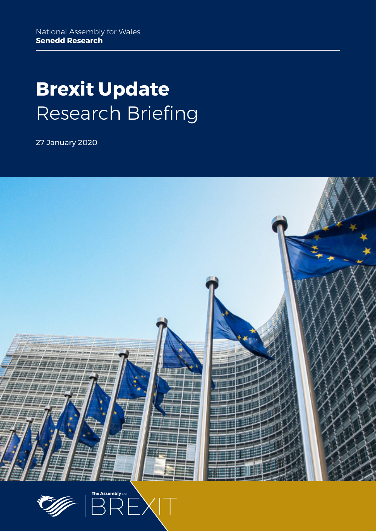# **Brexit Update** Research Briefing

27 January 2020



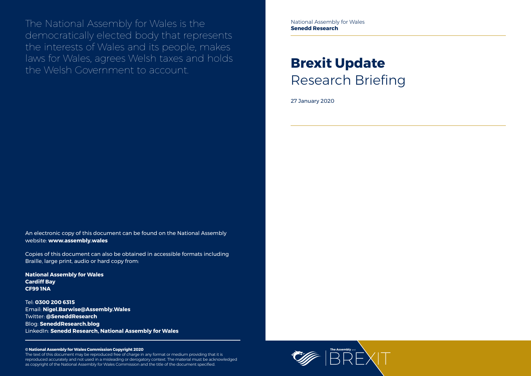

The National Assembly for Wales is the democratically elected body that represents the interests of Wales and its people, makes laws for Wales, agrees Welsh taxes and holds the Welsh Government to account.

#### **© National Assembly for Wales Commission Copyright 2020**

The text of this document may be reproduced free of charge in any format or medium providing that it is reproduced accurately and not used in a misleading or derogatory context. The material must be acknowledged as copyright of the National Assembly for Wales Commission and the title of the document specified.

# **Brexit Update** Research Briefing

27 January 2020

An electronic copy of this document can be found on the National Assembly website: **www.assembly.wales**

Copies of this document can also be obtained in accessible formats including Braille, large print, audio or hard copy from:

**National Assembly for Wales Cardiff Bay CF99 1NA**

Tel: **0300 200 6315** Email: **[Nigel.Barwise@Assembly.Wales](mailto:Nigel.Barwise%40Assembly.Wales?subject=)** Twitter: **[@SeneddResearch](http://www.twitter.com/@SeneddResearch)** Blog: **[SeneddResearch.blog](http://SeneddResearch.blog)** LinkedIn: **Senedd Research, National Assembly for Wales** National Assembly for Wales **Senedd Research**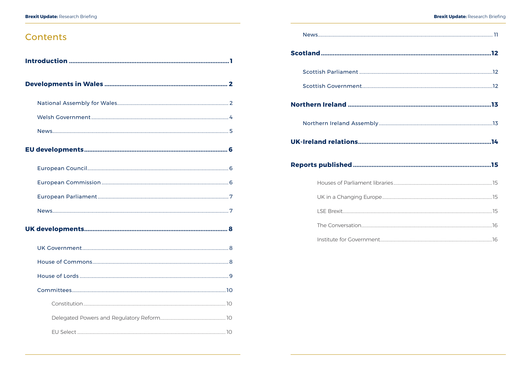## Contents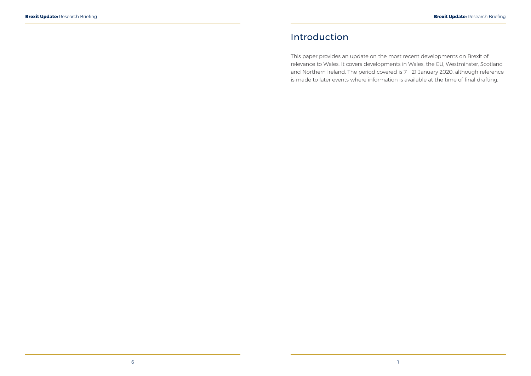## <span id="page-3-0"></span>Introduction

This paper provides an update on the most recent developments on Brexit of relevance to Wales. It covers developments in Wales, the EU, Westminster, Scotland and Northern Ireland. The period covered is 7 - 21 January 2020, although reference is made to later events where information is available at the time of final drafting.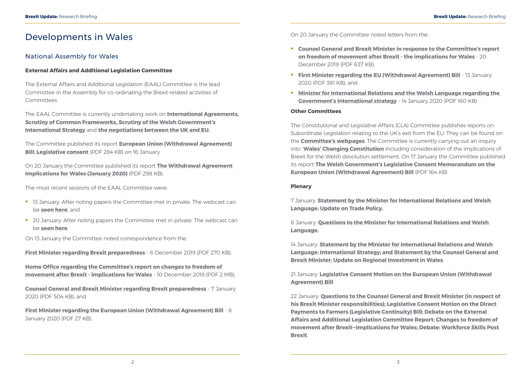## <span id="page-4-0"></span>Developments in Wales

### National Assembly for Wales

#### **External Affairs and Additional Legislation Committee**

The External Affairs and Additional Legislation (EAAL) Committee is the lead Committee in the Assembly for co-ordinating the Brexit-related activities of Committees.

The Committee published its report **[European Union \(Withdrawal Agreement\)](https://www.assembly.wales/laid%20documents/cr-ld12965/cr-ld12965%20-e.pdf)  [Bill: Legislative consent](https://www.assembly.wales/laid%20documents/cr-ld12965/cr-ld12965%20-e.pdf)** (PDF 284 KB) on 16 January.

The EAAL Committee is currently undertaking work on **[International Agreements,](http://senedd.assembly.wales/mgIssueHistoryHome.aspx?IId=25276) [Scrutiny of Common Frameworks](http://senedd.assembly.wales/mgIssueHistoryHome.aspx?IId=23807), [Scrutiny of the Welsh Government's](http://senedd.assembly.wales/mgIssueHistoryHome.aspx?IId=26987)  [International Strategy](http://senedd.assembly.wales/mgIssueHistoryHome.aspx?IId=26987)** and **[the negotiations between the UK and EU.](http://www.senedd.assembly.wales/mgIssueHistoryHome.aspx?IId=25020&Opt=0)**

- **13 January: After noting papers the Committee met in private. The webcast can** be **[seen here](http://www.senedd.tv/Meeting/Archive/c886f178-bdc3-4115-bfe2-bf0eda30276c?autostart=True)**; and
- <sup>2</sup> 20 January: After noting papers the Committee met in private. The webcast can be **[seen here](http://www.senedd.tv/Meeting/Archive/ead1cb88-1852-42f8-a0a2-0fe22f6a8452?autostart=True)**.

**[Home Office regarding the Committee's report on changes to freedom of](http://senedd.assembly.wales/documents/s97160/Correspondence%20from%20the%20Home%20Office%20to%20the%20Chair%20regarding%20the%20Committees%20report%20on%20changes%20to%20free.pdf)  [movement after Brexit - implications for Wales](http://senedd.assembly.wales/documents/s97160/Correspondence%20from%20the%20Home%20Office%20to%20the%20Chair%20regarding%20the%20Committees%20report%20on%20changes%20to%20free.pdf)** - 10 December 2019 (PDF 2 MB);

On 20 January the Committee published its report **[The Withdrawal Agreement](https://www.assembly.wales/laid%20documents/cr-ld12971/cr-ld12971-e.pdf)  [Implications for Wales \(January 2020\)](https://www.assembly.wales/laid%20documents/cr-ld12971/cr-ld12971-e.pdf)** (PDF 298 KB).

The most recent sessions of the EAAL Committee were:

On 13 January the Committee noted correspondence from the:

**[First Minister regarding Brexit preparedness](http://senedd.assembly.wales/documents/s97154/Correspondence%20from%20the%20First%20Minister%20to%20the%20Chair%20regarding%20Brexit%20preparedness%20-%206%20December%202019.pdf)** - 6 December 2019 (PDF 270 KB);

**[Counsel General and Brexit Minister regarding Brexit preparedness](http://senedd.assembly.wales/documents/s97159/Correspondence%20from%20the%20Counsel%20General%20and%20Brexit%20Minister%20to%20the%20Chair%20regarding%20Brexit%20preparedne.pdf)** - 7 January 2020 (PDF 504 KB); and

**[First Minister regarding the European Union \(Withdrawal Agreement\) Bill](http://senedd.assembly.wales/documents/s97261/Correspondence%20from%20the%20First%20Minister%20to%20the%20Chair%20regarding%20the%20European%20Union%20Withdrawal%20Agreeme.pdf)** - 8 January 2020 (PDF 27 KB).

On 20 January the Committee noted letters from the:

- **[Counsel General and Brexit Minister in response to the Committee's report](http://senedd.assembly.wales/documents/s97579/Correspondence%20from%20the%20Counsel%20General%20and%20Brexit%20Minister%20to%20the%20Chair%20in%20response%20to%20the%20Committe.pdf)  [on freedom of movement after Brexit - the implications for Wales](http://senedd.assembly.wales/documents/s97579/Correspondence%20from%20the%20Counsel%20General%20and%20Brexit%20Minister%20to%20the%20Chair%20in%20response%20to%20the%20Committe.pdf)** - 20 December 2019 (PDF 637 KB);
- **[First Minister regarding the EU \(Withdrawal Agreement\) Bill](http://senedd.assembly.wales/documents/s97531/Correspondence%20from%20the%20First%20Minister%20to%20the%20Chair%20regarding%20the%20EU%20Withdrawal%20Agreement%20Bill.pdf) 13 January** 2020 (PDF 381 KB); and
- **Minister for International Relations and the Welsh Language regarding the [Government's international strategy](http://senedd.assembly.wales/documents/s97578/Correspondence%20from%20the%20Minister%20for%20International%20Relations%20and%20the%20Welsh%20Language%20to%20the%20Chair%20reg.pdf)** - 14 January 2020 (PDF 160 KB)

#### **Other Committees**

The Constitutional and Legislative Affairs (CLA) Committee publishes reports on Subordinate Legislation relating to the UK's exit from the EU. They can be found on the **[Committee's webpages](http://senedd.assembly.wales/mgIssueHistoryHome.aspx?IId=20735)**. The Committee is currently carrying out an inquiry into **[Wales' Changing Constitution](http://www.senedd.assembly.wales/mgIssueHistoryHome.aspx?IId=25963)** including consideration of the implications of Brexit for the Welsh devolution settlement. On 17 January the Committee published its report **[The Welsh Government's Legislative Consent Memorandum on the](https://www.assembly.wales/laid%20documents/cr-ld12967/cr-ld12967-e.pdf)  [European Union \(Withdrawal Agreement\) Bill](https://www.assembly.wales/laid%20documents/cr-ld12967/cr-ld12967-e.pdf)** (PDF 164 KB)

#### **Plenary**

7 January: **[Statement by the Minister for International Relations and Welsh](https://record.assembly.wales/Plenary/6071)  [Language: Update on Trade Policy](https://record.assembly.wales/Plenary/6071).**

8 January: **[Questions to the Minister for International Relations and Welsh](https://record.assembly.wales/Plenary/6072)  [Language.](https://record.assembly.wales/Plenary/6072)**

14 January: **[Statement by the Minister for International Relations and Welsh](https://record.assembly.wales/Plenary/6073)  [Language: International Strategy; and Statement by the Counsel General and](https://record.assembly.wales/Plenary/6073)  [Brexit Minister: Update on Regional Investment in Wales](https://record.assembly.wales/Plenary/6073)**.

21 January: **[Legislative Consent Motion on the European Union \(Withdrawal](https://record.assembly.wales/Plenary/6075)  [Agreement\) Bill](https://record.assembly.wales/Plenary/6075)**.

22 January: **[Questions to the Counsel General and Brexit Minister \(in respect of](https://record.assembly.wales/Plenary/6076)  [his Brexit Minister responsibilities\); Legislative Consent Motion on the Direct](https://record.assembly.wales/Plenary/6076)  [Payments to Farmers \(Legislative Continuity\) Bill; Debate on the External](https://record.assembly.wales/Plenary/6076)  [Affairs and Additional Legislation Committee Report: Changes to freedom of](https://record.assembly.wales/Plenary/6076)  [movement after Brexit—Implications for Wales; Debate: Workforce Skills Post](https://record.assembly.wales/Plenary/6076)  [Brexit](https://record.assembly.wales/Plenary/6076)**.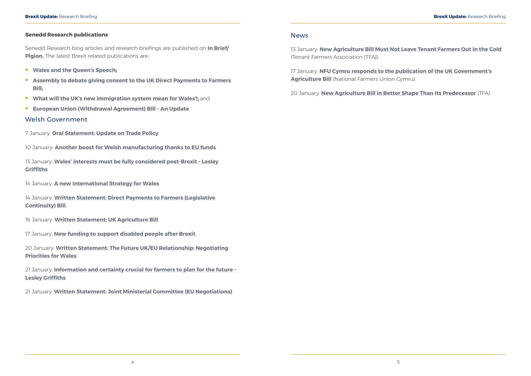#### <span id="page-5-0"></span>**Senedd Research publications**

Senedd Research blog articles and research briefings are published on **[In Brief/](https://assemblyinbrief.wordpress.com/) [Pigion.](https://seneddymchwil.blog/)** The latest Brexit related publications are:

- **[Wales and the Queen's Speech](https://seneddresearch.blog/2020/01/15/wales-and-the-queens-speech/);**
- **[Assembly to debate giving consent to the UK Direct Payments to Farmers](https://seneddresearch.blog/2020/01/15/assembly-to-debate-giving-consent-to-the-uk-direct-payments-to-farmers-bill/)  [Bill](https://seneddresearch.blog/2020/01/15/assembly-to-debate-giving-consent-to-the-uk-direct-payments-to-farmers-bill/);**
- **[What will the UK's new immigration system mean for Wales?;](https://seneddresearch.blog/2020/01/17/what-will-the-uks-new-immigration-system-mean-for-wales/)** and
- **[European Union \(Withdrawal Agreement\) Bill An Update](https://seneddresearch.blog/2020/01/21/european-union-withdrawal-agreement-bill-an-update/)**.

#### Welsh Government

7 January: **[Oral Statement: Update on Trade Policy](https://gov.wales/oral-statement-update-trade-policy)**.

10 January: **[Another boost for Welsh manufacturing thanks to EU funds](https://gov.wales/another-boost-for-welsh-manufacturing-thanks-to-eu-funds)**.

13 January: **[Wales' interests must be fully considered post-Brexit – Lesley](https://gov.wales/wales-interests-must-be-fully-considered-post-brexit-lesley-griffiths)  [Griffiths](https://gov.wales/wales-interests-must-be-fully-considered-post-brexit-lesley-griffiths)**.

17 January: **[NFU Cymru responds to the publication of the UK Government's](https://www.nfu-cymru.org.uk/news/publication-of-the-uk-governments-agriculture-bill/nfu-cymru-responds-to-the-publication-of-the-uk-governments-agriculture-bill/)  [Agriculture Bill](https://www.nfu-cymru.org.uk/news/publication-of-the-uk-governments-agriculture-bill/nfu-cymru-responds-to-the-publication-of-the-uk-governments-agriculture-bill/)** (National Farmers Union Cymru).

14 January: **[A new International Strategy for Wales](https://gov.wales/a-new-international-strategy-for-wales)**.

14 January: **[Written Statement: Direct Payments to Farmers \(Legislative](https://gov.wales/written-statement-direct-payments-farmers-legislative-continuity-bill)  [Continuity\) Bill](https://gov.wales/written-statement-direct-payments-farmers-legislative-continuity-bill)**.

16 January: **[Written Statement: UK Agriculture Bill](https://gov.wales/written-statement-uk-agriculture-bill)**.

17 January: **[New funding to support disabled people after Brexit](https://gov.wales/new-funding-support-disabled-people-after-brexit)**.

20 January: **[Written Statement: The Future UK/EU Relationship: Negotiating](https://gov.wales/written-statement-future-ukeu-relationship-negotiating-priorities-wales)  [Priorities for Wales](https://gov.wales/written-statement-future-ukeu-relationship-negotiating-priorities-wales)**.

21 January: **[Information and certainty crucial for farmers to plan for the future –](https://gov.wales/information-and-certainty-crucial-farmers-plan-future-lesley-griffiths)  [Lesley Griffiths](https://gov.wales/information-and-certainty-crucial-farmers-plan-future-lesley-griffiths)**.

21 January: **[Written Statement: Joint Ministerial Committee \(EU Negotiations\)](https://gov.wales/written-statement-joint-ministerial-committee-eu-negotiations-0)**.

#### News

13 January: **[New Agriculture Bill Must Not Leave Tenant Farmers Out in the Cold](https://www.tfa.org.uk/tfa-media-release-mr20-02-new-agriculture-bill-must-not-leave-tenant-farmers-out-in-the-cold/)** (Tenant Farmers Association (TFA)).

20 January: **[New Agriculture Bill in Better Shape Than Its Predecessor](https://www.tfa.org.uk/tfa-media-release-mr20-03-new-agriculture-bill-in-better-shape-than-its-predecessor/)** (TFA).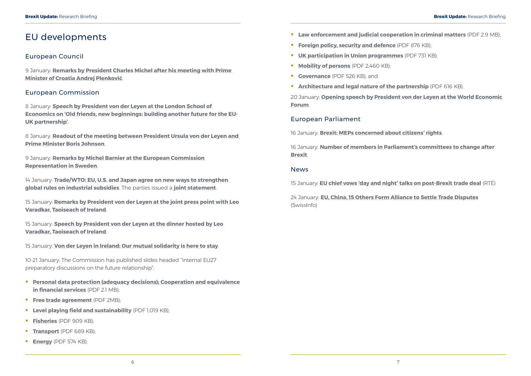## <span id="page-6-0"></span>EU developments

### European Council

9 January: **[Remarks by President Charles Michel after his meeting with Prime](https://www.consilium.europa.eu/en/press/press-releases/2020/01/09/remarks-by-president-charles-michel-after-his-meeting-with-prime-minister-of-croatia-andrej-plenkovic/)  [Minister of Croatia Andrej Plenković](https://www.consilium.europa.eu/en/press/press-releases/2020/01/09/remarks-by-president-charles-michel-after-his-meeting-with-prime-minister-of-croatia-andrej-plenkovic/)**.

### European Commission

8 January: **[Speech by President von der Leyen at the London School of](https://ec.europa.eu/commission/presscorner/detail/en/speech_20_3)  [Economics on 'Old friends, new beginnings: building another future for the EU-](https://ec.europa.eu/commission/presscorner/detail/en/speech_20_3)[UK partnership'](https://ec.europa.eu/commission/presscorner/detail/en/speech_20_3)**.

8 January: **[Readout of the meeting between President Ursula von der Leyen and](https://ec.europa.eu/commission/presscorner/detail/en/statement_20_10)  [Prime Minister Boris Johnson](https://ec.europa.eu/commission/presscorner/detail/en/statement_20_10)**.

9 January: **[Remarks by Michel Barnier at the European Commission](https://ec.europa.eu/commission/presscorner/detail/en/statement_20_13)  [Representation in Sweden](https://ec.europa.eu/commission/presscorner/detail/en/statement_20_13)**.

14 January: **[Trade/WTO: EU, U.S. and Japan agree on new ways to strengthen](https://ec.europa.eu/commission/presscorner/detail/en/ip_20_43)  [global rules on industrial subsidies](https://ec.europa.eu/commission/presscorner/detail/en/ip_20_43)**. The parties issued a **[joint statement](https://trade.ec.europa.eu/doclib/docs/2020/january/tradoc_158567.pdf)**.

- **[Law enforcement and judicial cooperation in criminal matters](https://ec.europa.eu/commission/sites/beta-political/files/seminar-20200116-lawenf_en.pdf)** (PDF 2.9 MB);
- **[Foreign policy, security and defence](https://ec.europa.eu/commission/sites/beta-political/files/seminar-20200117-_forpolsecdef_en.pdf)** (PDF 876 KB);
- **[UK participation in Union programmes](https://ec.europa.eu/commission/sites/beta-political/files/seminar-20200120-programmes_en.pdf)** (PDF 731 KB);
- **[Mobility of persons](https://ec.europa.eu/commission/sites/beta-political/files/seminar-20200120-mobility_en.pdf)** (PDF 2,460 KB);
- **[Governance](https://ec.europa.eu/commission/sites/beta-political/files/seminar-20200120-governance_en.pdf)** (PDF 526 KB); and
- **[Architecture and legal nature of the partnership](https://ec.europa.eu/commission/sites/beta-political/files/seminar-20200121-legnat_en.pdf)** (PDF 616 KB).

15 January: **[Remarks by President von der Leyen at the joint press point with Leo](https://ec.europa.eu/commission/presscorner/detail/en/speech_20_72)  [Varadkar, Taoiseach of Ireland](https://ec.europa.eu/commission/presscorner/detail/en/speech_20_72)**.

15 January: **[Speech by President von der Leyen at the dinner hosted by Leo](https://ec.europa.eu/commission/presscorner/detail/en/speech_20_73)  [Varadkar, Taoiseach of Ireland](https://ec.europa.eu/commission/presscorner/detail/en/speech_20_73)**.

15 January: **[Von der Leyen in Ireland: Our mutual solidarity is here to stay](https://ec.europa.eu/commission/presscorner/detail/en/ac_20_76)**.

10-21 January: The Commission has published slides headed "Internal EU27 preparatory discussions on the future relationship":

- **[Personal data protection \(adequacy decisions\); Cooperation and equivalence](https://ec.europa.eu/commission/sites/beta-political/files/seminar_20200110_-_data_protection_adequacy_-_financial_services_en.pdf)  [in financial services](https://ec.europa.eu/commission/sites/beta-political/files/seminar_20200110_-_data_protection_adequacy_-_financial_services_en.pdf)** (PDF 2.1 MB);
- **[Free trade agreement](https://ec.europa.eu/commission/sites/beta-political/files/seminar-20200113-fta_en_0.pdf)** (PDF 2MB);
- **[Level playing field and sustainability](https://ec.europa.eu/commission/sites/beta-political/files/seminar-20200114-lpf_en.pdf)** (PDF 1,019 KB);
- **[Fisheries](https://ec.europa.eu/commission/sites/beta-political/files/seminar-20200114-fisheries.pdf)** (PDF 909 KB);
- **[Transport](https://ec.europa.eu/commission/sites/beta-political/files/seminar-20200115-transport_en.pdf)** (PDF 689 KB);
- **[Energy](https://ec.europa.eu/commission/sites/beta-political/files/seminar-20200115-energy_en.pdf)** (PDF 574 KB);

20 January: **[Opening speech by President von der Leyen at the World Economic](https://ec.europa.eu/commission/presscorner/detail/en/speech_20_92)  [Forum](https://ec.europa.eu/commission/presscorner/detail/en/speech_20_92)**.

### European Parliament

16 January: **[Brexit: MEPs concerned about citizens' rights](https://www.europarl.europa.eu/news/en/press-room/20200109IPR69901/brexit-meps-concerned-about-citizens-rights)**.

16 January: **[Number of members in Parliament's committees to change after](https://www.europarl.europa.eu/news/en/press-room/20200115IPR70329/number-of-members-in-parliament-s-committees-to-change-after-brexit)  [Brexit](https://www.europarl.europa.eu/news/en/press-room/20200115IPR70329/number-of-members-in-parliament-s-committees-to-change-after-brexit)**.

#### News

15 January: **[EU chief vows 'day and night' talks on post-Brexit trade deal](https://www.rte.ie/news/politics/2020/0115/1107709-von-der-leyen-dublin/)** (RTÉ)

24 January: **[EU, China, 15 Others Form Alliance to Settle Trade Disputes](https://www.swissinfo.ch/eng/eu--china--15-others-form-alliance-to-settle-trade-disputes/45514958)** (SwissInfo)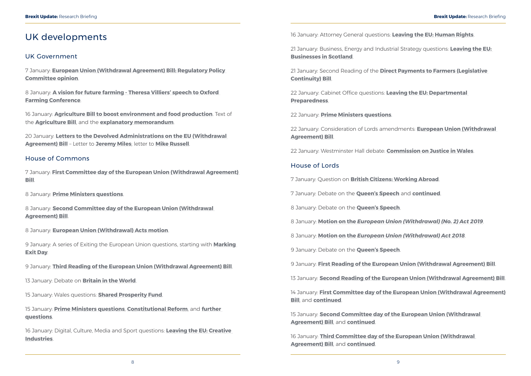## <span id="page-7-0"></span>UK developments

### UK Government

7 January: **[European Union \(Withdrawal Agreement\) Bill: Regulatory Policy](https://www.gov.uk/government/publications/european-union-withdrawal-agreement-bill-rpc-opinion)  [Committee opinion](https://www.gov.uk/government/publications/european-union-withdrawal-agreement-bill-rpc-opinion)**.

8 January: **[A vision for future farming - Theresa Villiers' speech to Oxford](https://www.gov.uk/government/speeches/a-vision-for-future-farming)  [Farming Conference](https://www.gov.uk/government/speeches/a-vision-for-future-farming)**.

16 January: **[Agriculture Bill to boost environment and food production](https://www.gov.uk/government/news/agriculture-bill-to-boost-environment-and-food-production)**. Text of the **[Agriculture Bill](https://publications.parliament.uk/pa/bills/cbill/58-01/0007/20007.pdf)**, and the **[explanatory memorandum](https://publications.parliament.uk/pa/bills/cbill/58-01/0007/en/20007en.pdf)**.

20 January: **[Letters to the Devolved Administrations on the EU \(Withdrawal](https://www.gov.uk/government/publications/letters-to-the-devolved-administrations-on-the-eu-withdrawal-agreement-bill)  [Agreement\) Bill](https://www.gov.uk/government/publications/letters-to-the-devolved-administrations-on-the-eu-withdrawal-agreement-bill)** – Letter to **[Jeremy Miles](https://assets.publishing.service.gov.uk/government/uploads/system/uploads/attachment_data/file/859146/2020-10-20_Letter_to_Jeremy_Miles_AM.pdf)**; letter to **[Mike Russell](https://assets.publishing.service.gov.uk/government/uploads/system/uploads/attachment_data/file/859145/2020-10-20_Letter_to_Michael_Russell_MSP.pdf)**.

#### House of Commons

7 January: **[First Committee day of the European Union \(Withdrawal Agreement\)](https://hansard.parliament.uk/commons/2020-01-07/debates/C5ADC5C3-0008-4CBB-81D6-717666FC7C4B/EuropeanUnion(WithdrawalAgreement)Bill)  [Bill](https://hansard.parliament.uk/commons/2020-01-07/debates/C5ADC5C3-0008-4CBB-81D6-717666FC7C4B/EuropeanUnion(WithdrawalAgreement)Bill)**.

8 January: **[Prime Ministers questions](https://hansard.parliament.uk/commons/2020-01-08/debates/E6EBBCF4-DA73-4E01-980C-3EBC01EE2DB3/Engagements)**.

8 January: **[Second Committee day of the European Union \(Withdrawal](https://hansard.parliament.uk/commons/2020-01-08/debates/4E741301-D874-401D-BC87-F023AAB86B49/EuropeanUnion(WithdrawalAgreement)Bill)  [Agreement\) Bill](https://hansard.parliament.uk/commons/2020-01-08/debates/4E741301-D874-401D-BC87-F023AAB86B49/EuropeanUnion(WithdrawalAgreement)Bill)**.

8 January: **[European Union \(Withdrawal\) Acts motion](https://hansard.parliament.uk/commons/2020-01-08/debates/1B353E6C-099E-4573-A5CC-D03948221CE1/EuropeanUnion(Withdrawal)Acts)**.

9 January: A series of Exiting the European Union questions, starting with **[Marking](https://hansard.parliament.uk/commons/2020-01-09/debates/0C73CE1D-CD7E-433C-8986-6ED28B278640/MarkingExitDay)  [Exit Day](https://hansard.parliament.uk/commons/2020-01-09/debates/0C73CE1D-CD7E-433C-8986-6ED28B278640/MarkingExitDay)**.

9 January: **[Third Reading of the European Union \(Withdrawal Agreement\) Bill](https://hansard.parliament.uk/commons/2020-01-09/debates/D0792D24-67D7-484C-B94F-3A7D43685852/EuropeanUnion(WithdrawalAgreement)Bill)**.

13 January: Debate on **[Britain in the World](https://hansard.parliament.uk/commons/2020-01-13/debates/3C015023-C583-4D04-91DC-77AFC1994182/BritainInTheWorld)**.

15 January: Wales questions: **[Shared Prosperity Fund](https://hansard.parliament.uk/commons/2020-01-15/debates/9832D298-826E-4598-8797-F34C73F8CDCB/SharedProsperityFund)**.

15 January: **[Prime Ministers questions](https://hansard.parliament.uk/commons/2020-01-15/debates/2CA2C0F3-F47F-4201-AFB2-3D951B3C2F29/Engagements)**, **[Constitutional Reform](https://hansard.parliament.uk/commons/2020-01-15/debates/FA60A4D9-47C6-4CA1-8A0A-626B3828761B/ConstitutionalReform)**, and **[further](https://hansard.parliament.uk/commons/2020-01-15/debates/F262C685-F555-49BB-84CF-B102C1569BE1/Engagements)  [questions](https://hansard.parliament.uk/commons/2020-01-15/debates/F262C685-F555-49BB-84CF-B102C1569BE1/Engagements)**.

16 January: Digital, Culture, Media and Sport questions: **[Leaving the EU: Creative](https://hansard.parliament.uk/commons/2020-01-16/debates/46AAFD12-D4B2-48BF-B542-A4EF4816FD90/LeavingTheEUCreativeIndustries)  [Industries](https://hansard.parliament.uk/commons/2020-01-16/debates/46AAFD12-D4B2-48BF-B542-A4EF4816FD90/LeavingTheEUCreativeIndustries)**.

16 January: Attorney General questions: **[Leaving the EU: Human Rights](https://hansard.parliament.uk/commons/2020-01-16/debates/54496335-2C79-4CDC-8AC3-7A5F3FE5AF54/LeavingTheEUHumanRights)**.

21 January: Business, Energy and Industrial Strategy questions: **[Leaving the EU:](https://hansard.parliament.uk/commons/2020-01-21/debates/F25B0341-2888-464D-AFCB-EC3EB7DF3E40/LeavingTheEUBusinessesInScotland)  [Businesses in Scotland](https://hansard.parliament.uk/commons/2020-01-21/debates/F25B0341-2888-464D-AFCB-EC3EB7DF3E40/LeavingTheEUBusinessesInScotland)**.

21 January: Second Reading of the **[Direct Payments to Farmers \(Legislative](https://hansard.parliament.uk/commons/2020-01-21/debates/35DD1ED8-A9B2-47CB-B7F8-5C335D63D5ED/DirectPaymentsToFarmers(LegislativeContinuity)Bill)  [Continuity\) Bill](https://hansard.parliament.uk/commons/2020-01-21/debates/35DD1ED8-A9B2-47CB-B7F8-5C335D63D5ED/DirectPaymentsToFarmers(LegislativeContinuity)Bill)**.

22 January: Cabinet Office questions: **[Leaving the EU: Departmental](https://hansard.parliament.uk/commons/2020-01-22/debates/1F78FA0F-BEEA-4565-A86C-1725A1BEC214/LeavingTheEUDepartmentalPreparedness)  [Preparedness](https://hansard.parliament.uk/commons/2020-01-22/debates/1F78FA0F-BEEA-4565-A86C-1725A1BEC214/LeavingTheEUDepartmentalPreparedness)**.

22 January: **[Prime Ministers questions](https://hansard.parliament.uk/commons/2020-01-22/debates/6B6FAD67-CA8C-4AF2-9CC9-07F6175ABC4C/Engagements)**.

22 January: Consideration of Lords amendments: **[European Union \(Withdrawal](https://hansard.parliament.uk/commons/2020-01-22/debates/7D35E1A9-CB17-4503-A8AF-8E8E30169A95/EuropeanUnion(WithdrawalAgreement)Bill)  [Agreement\) Bill](https://hansard.parliament.uk/commons/2020-01-22/debates/7D35E1A9-CB17-4503-A8AF-8E8E30169A95/EuropeanUnion(WithdrawalAgreement)Bill)**.

22 January: Westminster Hall debate: **[Commission on Justice in Wales](https://hansard.parliament.uk/commons/2020-01-22/debates/45A32F4F-4FD7-4AE5-99B6-2780FD13082B/CommissionOnJusticeInWales)**.

#### House of Lords

7 January: Question on **[British Citizens: Working Abroad](https://hansard.parliament.uk/Lords/2020-01-07/debates/E85F68CB-CDD0-4FE2-8073-F65232E67DA3/BritishCitizensWorkingAbroad)**.

7 January: Debate on the **[Queen's Speech](https://hansard.parliament.uk/Lords/2020-01-07/debates/F94C76BC-6327-4A10-8B85-8F91DF03D8DF/Queen’SSpeech)** and **[continued](https://hansard.parliament.uk/Lords/2020-01-07/debates/4BE7E619-C7ED-43E2-B7C7-0BB9D05B1EAF/Queen’SSpeech)**.

8 January: Debate on the **[Queen's Speech](https://hansard.parliament.uk/Lords/2020-01-08/debates/85320472-1F49-424F-81FE-691B0D3BF1F3/Queen’SSpeech)**.

8 January: **Motion on the** *[European Union \(Withdrawal\) \(No. 2\) Act 2019](https://hansard.parliament.uk/Lords/2020-01-08/debates/349DE614-4488-4A24-A619-05AC3FC8B5CB/EuropeanUnion(Withdrawal)(No2)Act2019)*.

8 January: **Motion on the** *[European Union \(Withdrawal\) Act 2018](https://hansard.parliament.uk/Lords/2020-01-08/debates/D53F7F09-36D5-418A-B01D-13F87CFD3A4F/EuropeanUnion(Withdrawal)Act2018)*.

9 January: Debate on the **[Queen's Speech](https://hansard.parliament.uk/Lords/2020-01-09/debates/8D354643-AF8F-4906-A0F8-CC4A027D47AD/Queen’SSpeech)**.

9 January: **[First Reading of the European Union \(Withdrawal Agreement\) Bill](https://hansard.parliament.uk/Lords/2020-01-09/debates/0B2509BB-77AE-44FD-B003-0D64C7A1ABD9/EuropeanUnion(WithdrawalAgreement)Bill)**.

13 January: **[Second Reading of the European Union \(Withdrawal Agreement\) Bill](https://hansard.parliament.uk/Lords/2020-01-13/debates/8EE15EAD-6927-4613-AC95-DA6B64711D28/EuropeanUnion(WithdrawalAgreement)Bill)**.

14 January: **[First Committee day of the European Union \(Withdrawal Agreement\)](https://hansard.parliament.uk/Lords/2020-01-14/debates/71234BAC-F4F0-4F9E-8F68-9A4F47CC7472/EuropeanUnion(WithdrawalAgreement)Bill)  [Bill](https://hansard.parliament.uk/Lords/2020-01-14/debates/71234BAC-F4F0-4F9E-8F68-9A4F47CC7472/EuropeanUnion(WithdrawalAgreement)Bill)**, and **[continued](https://hansard.parliament.uk/Lords/2020-01-14/debates/009CC3F1-FD31-4655-90EF-455FDA91B644/EuropeanUnion(WithdrawalAgreement)Bill)**.

15 January: **[Second Committee day of the European Union \(Withdrawal](https://hansard.parliament.uk/Lords/2020-01-15/debates/4D00993A-2CE7-4DDF-AE44-AE73456A7B96/EuropeanUnion(WithdrawalAgreement)Bill)  [Agreement\) Bill](https://hansard.parliament.uk/Lords/2020-01-15/debates/4D00993A-2CE7-4DDF-AE44-AE73456A7B96/EuropeanUnion(WithdrawalAgreement)Bill)**, and **[continued](https://hansard.parliament.uk/Lords/2020-01-15/debates/DEE80FF8-97FE-4961-97E1-7EC69CFE4DEC/EuropeanUnion(WithdrawalAgreement)Bill)**.

16 January: **[Third Committee day of the European Union \(Withdrawal](https://hansard.parliament.uk/Lords/2020-01-16/debates/E966FD8D-C2B9-4BBE-88FF-739E13BE367C/EuropeanUnion(WithdrawalAgreement)Bill)  [Agreement\) Bill](https://hansard.parliament.uk/Lords/2020-01-16/debates/E966FD8D-C2B9-4BBE-88FF-739E13BE367C/EuropeanUnion(WithdrawalAgreement)Bill)**, and **[continued](https://hansard.parliament.uk/Lords/2020-01-16/debates/3B88FEAD-25EC-4DA0-8344-EAFC0EA3FFAE/EuropeanUnion(WithdrawalAgreement)Bill)**.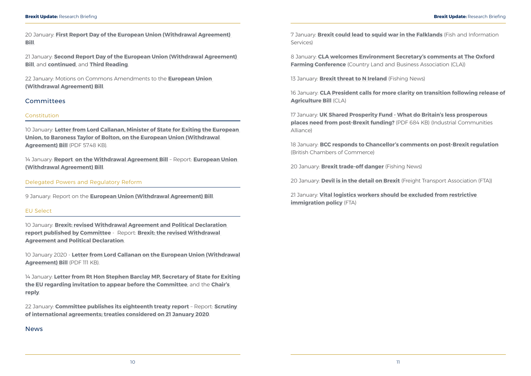<span id="page-8-0"></span>20 January: **[First Report Day of the European Union \(Withdrawal Agreement\)](https://hansard.parliament.uk/Lords/2020-01-20/debates/396570D8-4F9D-431B-B907-3CE6AEE077F1/EuropeanUnion(WithdrawalAgreement)Bill)  [Bill](https://hansard.parliament.uk/Lords/2020-01-20/debates/396570D8-4F9D-431B-B907-3CE6AEE077F1/EuropeanUnion(WithdrawalAgreement)Bill)**.

21 January: **[Second Report Day of the European Union \(Withdrawal Agreement\)](https://hansard.parliament.uk/Lords/2020-01-21/debates/EE4D93F9-2E96-4491-B70E-10EF7A648601/EuropeanUnion(WithdrawalAgreement)Bill)  [Bill](https://hansard.parliament.uk/Lords/2020-01-21/debates/EE4D93F9-2E96-4491-B70E-10EF7A648601/EuropeanUnion(WithdrawalAgreement)Bill)**, and **[continued](https://hansard.parliament.uk/Lords/2020-01-21/debates/0B422782-6258-4FF1-B915-3BA5D6A494A8/EuropeanUnion(WithdrawalAgreement)Bill)**, and **[Third Reading](https://hansard.parliament.uk/Lords/2020-01-21/debates/84B94A0E-5545-44CD-8055-32CE232201FC/EuropeanUnion(WithdrawalAgreement)Bill)**.

22 January: Motions on Commons Amendments to the **[European Union](https://hansard.parliament.uk/Lords/2020-01-22/debates/09CDAC60-2C06-47CB-A373-99C52693E758/EuropeanUnion(WithdrawalAgreement)Bill)  [\(Withdrawal Agreement\) Bill](https://hansard.parliament.uk/Lords/2020-01-22/debates/09CDAC60-2C06-47CB-A373-99C52693E758/EuropeanUnion(WithdrawalAgreement)Bill)**.

#### Committees

#### Constitution

10 January: **[Letter from Lord Callanan, Minister of State for Exiting the European](https://www.parliament.uk/documents/lords-committees/constitution/Lord-Callanan-to-Baroness-Taylor-of-Bolton.pdf)  [Union, to Baroness Taylor of Bolton, on the European Union \(Withdrawal](https://www.parliament.uk/documents/lords-committees/constitution/Lord-Callanan-to-Baroness-Taylor-of-Bolton.pdf)  [Agreement\) Bill](https://www.parliament.uk/documents/lords-committees/constitution/Lord-Callanan-to-Baroness-Taylor-of-Bolton.pdf)** (PDF 57.48 KB).

14 January: **[Report on the Withdrawal Agreement Bill](https://www.parliament.uk/business/committees/committees-a-z/lords-select/constitution-committee/news-parliament-2019/eu_wab_report2020/)** – Report: **[European Union](https://publications.parliament.uk/pa/ld5801/ldselect/ldconst/5/502.htm)  [\(Withdrawal Agreement\) Bill](https://publications.parliament.uk/pa/ld5801/ldselect/ldconst/5/502.htm)**.

Delegated Powers and Regulatory Reform

8 January: **[CLA welcomes Environment Secretary's comments at The Oxford](https://www.cla.org.uk/cla-welcomes-environment-secretary’s-comments-oxford-farming-conference)  [Farming Conference](https://www.cla.org.uk/cla-welcomes-environment-secretary’s-comments-oxford-farming-conference)** (Country Land and Business Association (CLA))

9 January: Report on the **[European Union \(Withdrawal Agreement\) Bill](https://publications.parliament.uk/pa/ld5801/ldselect/lddelreg/3/303.htm)**.

#### EU Select

10 January: **[Brexit: revised Withdrawal Agreement and Political Declaration](https://www.parliament.uk/business/committees/committees-a-z/lords-select/eu-select-committee-/news-parliament-2019/withdrawal-agreement-report-published/)  [report published by Committee](https://www.parliament.uk/business/committees/committees-a-z/lords-select/eu-select-committee-/news-parliament-2019/withdrawal-agreement-report-published/)** - Report: **[Brexit: the revised Withdrawal](https://publications.parliament.uk/pa/ld5801/ldselect/ldeucom/4/402.htm)  [Agreement and Political Declaration](https://publications.parliament.uk/pa/ld5801/ldselect/ldeucom/4/402.htm)**.

10 January 2020 - **[Letter from Lord Callanan on the European Union \(Withdrawal](https://www.parliament.uk/documents/lords-committees/eu-select/Correspondence-2020/lord-callanan-withdrawal-bill.pdf)  [Agreement\) Bill](https://www.parliament.uk/documents/lords-committees/eu-select/Correspondence-2020/lord-callanan-withdrawal-bill.pdf)** (PDF 111 KB).

14 January: **[Letter from Rt Hon Stephen Barclay MP, Secretary of State for Exiting](https://www.parliament.uk/documents/lords-committees/eu-select/Correspondence-2020/stephen-barclay-letter-jan.pdf)  [the EU regarding invitation to appear before the Committee](https://www.parliament.uk/documents/lords-committees/eu-select/Correspondence-2020/stephen-barclay-letter-jan.pdf)**, and the **[Chair's](https://www.parliament.uk/documents/lords-committees/eu-select/Correspondence-2020/kinnoull-letter-dexeu-jan.pdf)  [reply](https://www.parliament.uk/documents/lords-committees/eu-select/Correspondence-2020/kinnoull-letter-dexeu-jan.pdf)**.

22 January: **[Committee publishes its eighteenth treaty report](https://www.parliament.uk/business/committees/committees-a-z/lords-select/eu-select-committee-/news-parliament-2019/eighteenth-international-agreements-report/)** – Report: **[Scrutiny](https://publications.parliament.uk/pa/ld5801/ldselect/ldeucom/9/902.htm)  [of international agreements; treaties considered on 21 January 2020](https://publications.parliament.uk/pa/ld5801/ldselect/ldeucom/9/902.htm)**.

#### News

7 January: **[Brexit could lead to squid war in the Falklands](https://www.fis.com/fis/worldnews/worldnews.asp?monthyear&day=7&id=105926&l=e&special&ndb=1+target%3D)** (Fish and Information Services)

13 January: **[Brexit threat to N Ireland](https://fishingnews.co.uk/news/brexit-threat-to-n-ireland/)** (Fishing News)

16 January: **[CLA President calls for more clarity on transition following release of](https://www.cla.org.uk/cla-president-calls-more-clarity-transition-following-release-agriculture-bill)  [Agriculture Bill](https://www.cla.org.uk/cla-president-calls-more-clarity-transition-following-release-agriculture-bill)** (CLA)

17 January: **[UK Shared Prosperity Fund - What do Britain's less prosperous](https://static1.squarespace.com/static/5bb773c49b7d1510743e696f/t/5e1353d042d66e7ee6157cd2/1578324946662/UKSPF+Jan+2020.pdf)  [places need from post-Brexit funding?](https://static1.squarespace.com/static/5bb773c49b7d1510743e696f/t/5e1353d042d66e7ee6157cd2/1578324946662/UKSPF+Jan+2020.pdf)** (PDF 684 KB) (Industrial Communities Alliance)

18 January: **[BCC responds to Chancellor's comments on post-Brexit regulation](https://www.britishchambers.org.uk/news/2020/01/bcc-responds-to-chancellors-comments-on-post-brexit-regulation)** (British Chambers of Commerce)

20 January: **[Brexit trade-off danger](https://fishingnews.co.uk/news/brexit-trade-off-danger-photo-epa/)** (Fishing News)

20 January: **[Devil is in the detail on Brexit](https://fta.co.uk/media/press-releases/2020/january-2020/devil-is-in-the-detail-on-brexit-says-fta)** (Freight Transport Association (FTA))

21 January: **[Vital logistics workers should be excluded from restrictive](https://fta.co.uk/media/press-releases/2020/january-2020/vital-logistics-workers-should-be-excluded-from-re)  [immigration policy](https://fta.co.uk/media/press-releases/2020/january-2020/vital-logistics-workers-should-be-excluded-from-re)** (FTA)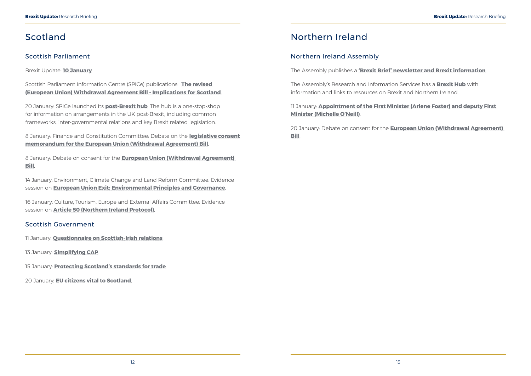## <span id="page-9-0"></span>Scotland

### Scottish Parliament

Brexit Update: **[10 January](https://www.parliament.scot/SPICeResources/Research%20briefings%20and%20fact%20sheets/SPICe_Brexit_update_2020.01.10.pdf)**.

Scottish Parliament Information Centre (SPICe) publications: **[The revised](https://digitalpublications.parliament.scot/ResearchBriefings/Report/2020/1/6/The-revised--European-Union--Withdrawal-Agreement-Bill---Implications-for-Scotland)  [\(European Union\) Withdrawal Agreement Bill - Implications for Scotland](https://digitalpublications.parliament.scot/ResearchBriefings/Report/2020/1/6/The-revised--European-Union--Withdrawal-Agreement-Bill---Implications-for-Scotland)**.

20 January: SPICe launched its **[post-Brexit hub](https://scottishparliamentinformationcentre.org/)**. The hub is a one-stop-shop for information on arrangements in the UK post-Brexit, including common frameworks, inter-governmental relations and key Brexit related legislation.

8 January: Finance and Constitution Committee: Debate on the **[legislative consent](http://www.parliament.scot/parliamentarybusiness/report.aspx?r=12447)  [memorandum for the European Union \(Withdrawal Agreement\) Bill](http://www.parliament.scot/parliamentarybusiness/report.aspx?r=12447)**.

8 January: Debate on consent for the **[European Union \(Withdrawal Agreement\)](http://www.parliament.scot/parliamentarybusiness/report.aspx?r=12446&i=112508)  [Bill](http://www.parliament.scot/parliamentarybusiness/report.aspx?r=12446&i=112508)**.

14 January: Environment, Climate Change and Land Reform Committee: Evidence session on **[European Union Exit: Environmental Principles and Governance](http://www.parliament.scot/parliamentarybusiness/report.aspx?r=12463&i=112677)**.

16 January: Culture, Tourism, Europe and External Affairs Committee: Evidence session on **[Article 50 \(Northern Ireland Protocol\)](http://www.parliament.scot/parliamentarybusiness/report.aspx?r=12464&i=112680)**.

### Scottish Government

11 January: **[Questionnaire on Scottish-Irish relations](https://www.gov.scot/news/questionnaire-on-scottish-irish-relations/)**.

13 January: **[Simplifying CAP](https://www.gov.scot/news/simplifying-cap/)**.

15 January: **[Protecting Scotland's standards for trade](https://www.gov.scot/news/protecting-scotlands-standards-for-trade/)**.

20 January: **[EU citizens vital to Scotland](https://www.gov.scot/news/eu-citizens-vital-to-scotland/)**.

## Northern Ireland

### Northern Ireland Assembly

The Assembly publishes a **['Brexit Brief' newsletter and Brexit information](http://www.niassembly.gov.uk/assembly-business/brexit-brief/)**.

The Assembly's Research and Information Services has a **[Brexit Hub](http://www.niassembly.gov.uk/assembly-business/research-and-information-service-raise/brexit-and-ni/)** with information and links to resources on Brexit and Northern Ireland.

11 January: **[Appointment of the First Minister \(Arlene Foster\) and deputy First](http://aims.niassembly.gov.uk/officialreport/report.aspx?&eveDate=2020/01/11&docID=290745)  [Minister \(Michelle O'Neill\)](http://aims.niassembly.gov.uk/officialreport/report.aspx?&eveDate=2020/01/11&docID=290745)**.

20 January: Debate on consent for the **[European Union \(Withdrawal Agreement\)](http://aims.niassembly.gov.uk/officialreport/report.aspx?&eveDate=2020/01/20&docID=291366)  [Bill](http://aims.niassembly.gov.uk/officialreport/report.aspx?&eveDate=2020/01/20&docID=291366)**.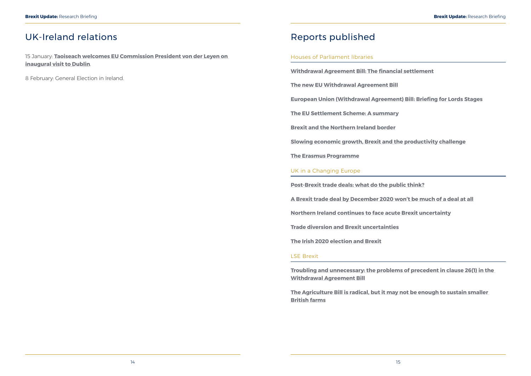## <span id="page-10-0"></span>UK-Ireland relations

15 January: **[Taoiseach welcomes EU Commission President von der Leyen on](https://merrionstreet.ie/en/News-Room/News/Taoiseach_welcomes_EU_Commission_President_von_der_Leyen_on_inaugural_visit_to_Dublin.html)  [inaugural visit to Dublin](https://merrionstreet.ie/en/News-Room/News/Taoiseach_welcomes_EU_Commission_President_von_der_Leyen_on_inaugural_visit_to_Dublin.html)**.

8 February: General Election in Ireland.

## Reports published

#### Houses of Parliament libraries

**[Withdrawal Agreement Bill: The financial settlement](https://commonslibrary.parliament.uk/brexit/the-eu/withdrawal-agreement-bill-the-financial-settlement/)**

**[The new EU Withdrawal Agreement Bill](https://researchbriefings.parliament.uk/ResearchBriefing/Summary/CBP-8776)**

**[European Union \(Withdrawal Agreement\) Bill: Briefing for Lords Stages](https://researchbriefings.parliament.uk/ResearchBriefing/Summary/LLN-2020-0011)**

**[The EU Settlement Scheme: A summary](https://commonslibrary.parliament.uk/home-affairs/immigration/the-eu-settlement-scheme-a-summary/)**

**[Brexit and the Northern Ireland border](https://commonslibrary.parliament.uk/brexit/policy/brexit-and-the-northern-ireland-border/)**

**[Slowing economic growth, Brexit and the productivity challenge](https://commonslibrary.parliament.uk/brexit/slowing-economic-growth-brexit-and-the-productivity-challenge/)**

**[The Erasmus Programme](https://researchbriefings.parliament.uk/ResearchBriefing/Summary/CBP-8326)**

#### UK in a Changing Europe

**[Post-Brexit trade deals: what do the public think?](https://ukandeu.ac.uk/post-brexit-trade-deals-what-do-the-public-think/)**

**[A Brexit trade deal by December 2020 won't be much of a deal at all](https://ukandeu.ac.uk/a-brexit-trade-deal-by-december-2020-wont-be-much-of-a-deal-at-all/)**

**[Northern Ireland continues to face acute Brexit uncertainty](https://ukandeu.ac.uk/northern-ireland-continues-to-face-acute-brexit-uncertainty/)**

**[Trade diversion and Brexit uncertainties](https://ukandeu.ac.uk/trade-diversion-and-brexit-uncertainties/)**

**[The Irish 2020 election and Brexit](https://ukandeu.ac.uk/the-irish-2020-election-and-brexit/)**

#### LSE Brexit

**[Troubling and unnecessary: the problems of precedent in clause 26\(1\) in the](https://blogs.lse.ac.uk/brexit/2020/01/14/troubling-and-unnecessary-the-problems-of-precedent-in-clause-261-in-the-withdrawal-agreement-bill/)  [Withdrawal Agreement Bill](https://blogs.lse.ac.uk/brexit/2020/01/14/troubling-and-unnecessary-the-problems-of-precedent-in-clause-261-in-the-withdrawal-agreement-bill/)**

**[The Agriculture Bill is radical, but it may not be enough to sustain smaller](https://blogs.lse.ac.uk/brexit/2020/01/22/the-agriculture-bill-is-radical-but-it-may-not-be-enough-to-sustain-smaller-british-farms/)  [British farms](https://blogs.lse.ac.uk/brexit/2020/01/22/the-agriculture-bill-is-radical-but-it-may-not-be-enough-to-sustain-smaller-british-farms/)**